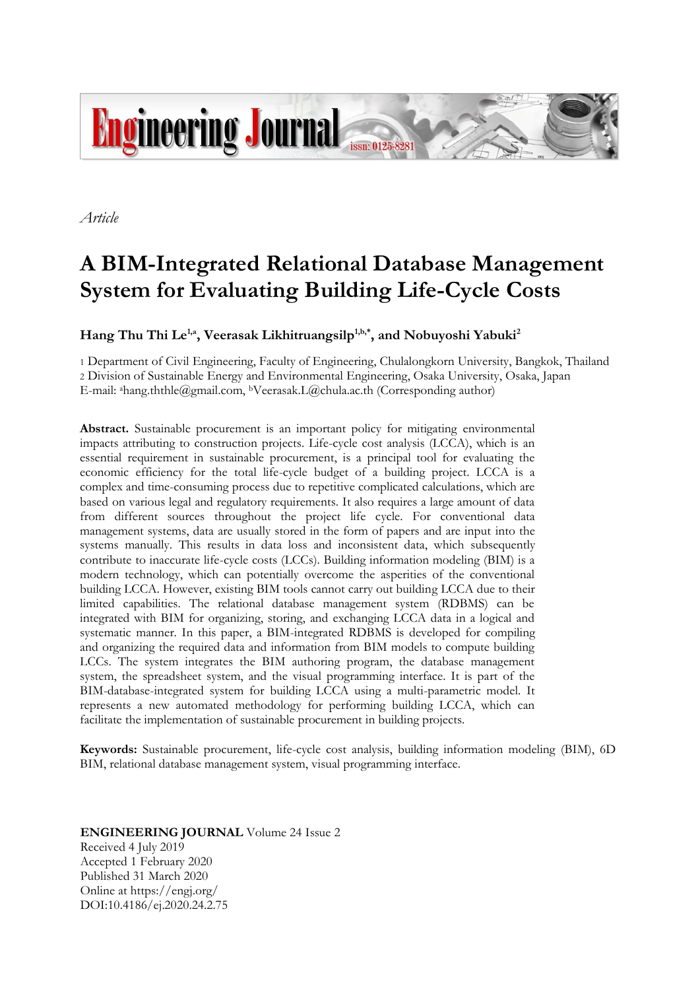

*Article*

# **A BIM-Integrated Relational Database Management System for Evaluating Building Life-Cycle Costs**

**Hang Thu Thi Le1,a, Veerasak Likhitruangsilp1,b,\*, and Nobuyoshi Yabuki<sup>2</sup>**

1 Department of Civil Engineering, Faculty of Engineering, Chulalongkorn University, Bangkok, Thailand 2 Division of Sustainable Energy and Environmental Engineering, Osaka University, Osaka, Japan E-mail: ahang.ththle@gmail.com, bVeerasak.L@chula.ac.th (Corresponding author)

**Abstract.** Sustainable procurement is an important policy for mitigating environmental impacts attributing to construction projects. Life-cycle cost analysis (LCCA), which is an essential requirement in sustainable procurement, is a principal tool for evaluating the economic efficiency for the total life-cycle budget of a building project. LCCA is a complex and time-consuming process due to repetitive complicated calculations, which are based on various legal and regulatory requirements. It also requires a large amount of data from different sources throughout the project life cycle. For conventional data management systems, data are usually stored in the form of papers and are input into the systems manually. This results in data loss and inconsistent data, which subsequently contribute to inaccurate life-cycle costs (LCCs). Building information modeling (BIM) is a modern technology, which can potentially overcome the asperities of the conventional building LCCA. However, existing BIM tools cannot carry out building LCCA due to their limited capabilities. The relational database management system (RDBMS) can be integrated with BIM for organizing, storing, and exchanging LCCA data in a logical and systematic manner. In this paper, a BIM-integrated RDBMS is developed for compiling and organizing the required data and information from BIM models to compute building LCCs. The system integrates the BIM authoring program, the database management system, the spreadsheet system, and the visual programming interface. It is part of the BIM-database-integrated system for building LCCA using a multi-parametric model. It represents a new automated methodology for performing building LCCA, which can facilitate the implementation of sustainable procurement in building projects.

**Keywords:** Sustainable procurement, life-cycle cost analysis, building information modeling (BIM), 6D BIM, relational database management system, visual programming interface.

**ENGINEERING JOURNAL** Volume 24 Issue 2 Received 4 July 2019 Accepted 1 February 2020 Published 31 March 2020 Online at https://engj.org/ DOI:10.4186/ej.2020.24.2.75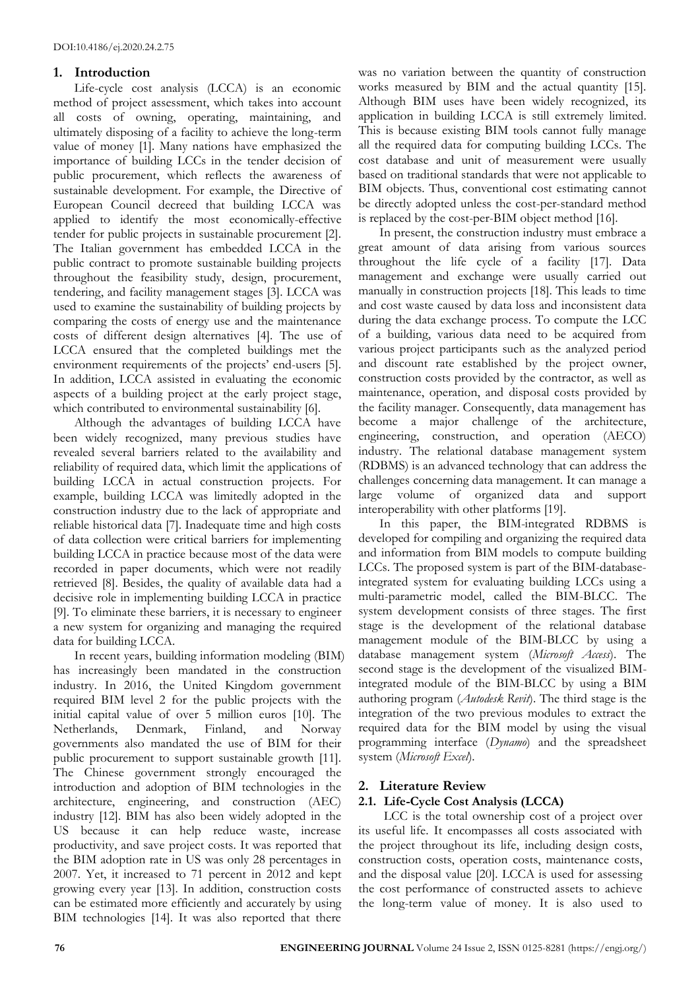## **1. Introduction**

Life-cycle cost analysis (LCCA) is an economic method of project assessment, which takes into account all costs of owning, operating, maintaining, and ultimately disposing of a facility to achieve the long-term value of money [1]. Many nations have emphasized the importance of building LCCs in the tender decision of public procurement, which reflects the awareness of sustainable development. For example, the Directive of European Council decreed that building LCCA was applied to identify the most economically-effective tender for public projects in sustainable procurement [2]. The Italian government has embedded LCCA in the public contract to promote sustainable building projects throughout the feasibility study, design, procurement, tendering, and facility management stages [3]. LCCA was used to examine the sustainability of building projects by comparing the costs of energy use and the maintenance costs of different design alternatives [4]. The use of LCCA ensured that the completed buildings met the environment requirements of the projects' end-users [5]. In addition, LCCA assisted in evaluating the economic aspects of a building project at the early project stage, which contributed to environmental sustainability [6].

Although the advantages of building LCCA have been widely recognized, many previous studies have revealed several barriers related to the availability and reliability of required data, which limit the applications of building LCCA in actual construction projects. For example, building LCCA was limitedly adopted in the construction industry due to the lack of appropriate and reliable historical data [7]. Inadequate time and high costs of data collection were critical barriers for implementing building LCCA in practice because most of the data were recorded in paper documents, which were not readily retrieved [8]. Besides, the quality of available data had a decisive role in implementing building LCCA in practice [9]. To eliminate these barriers, it is necessary to engineer a new system for organizing and managing the required data for building LCCA.

In recent years, building information modeling (BIM) has increasingly been mandated in the construction industry. In 2016, the United Kingdom government required BIM level 2 for the public projects with the initial capital value of over 5 million euros [10]. The Netherlands, Denmark, Finland, and Norway governments also mandated the use of BIM for their public procurement to support sustainable growth [11]. The Chinese government strongly encouraged the introduction and adoption of BIM technologies in the architecture, engineering, and construction (AEC) industry [12]. BIM has also been widely adopted in the US because it can help reduce waste, increase productivity, and save project costs. It was reported that the BIM adoption rate in US was only 28 percentages in 2007. Yet, it increased to 71 percent in 2012 and kept growing every year [13]. In addition, construction costs can be estimated more efficiently and accurately by using BIM technologies [14]. It was also reported that there

was no variation between the quantity of construction works measured by BIM and the actual quantity [15]. Although BIM uses have been widely recognized, its application in building LCCA is still extremely limited. This is because existing BIM tools cannot fully manage all the required data for computing building LCCs. The cost database and unit of measurement were usually based on traditional standards that were not applicable to BIM objects. Thus, conventional cost estimating cannot be directly adopted unless the cost-per-standard method is replaced by the cost-per-BIM object method [16].

In present, the construction industry must embrace a great amount of data arising from various sources throughout the life cycle of a facility [17]. Data management and exchange were usually carried out manually in construction projects [18]. This leads to time and cost waste caused by data loss and inconsistent data during the data exchange process. To compute the LCC of a building, various data need to be acquired from various project participants such as the analyzed period and discount rate established by the project owner, construction costs provided by the contractor, as well as maintenance, operation, and disposal costs provided by the facility manager. Consequently, data management has become a major challenge of the architecture, engineering, construction, and operation (AECO) industry. The relational database management system (RDBMS) is an advanced technology that can address the challenges concerning data management. It can manage a large volume of organized data and support interoperability with other platforms [19].

In this paper, the BIM-integrated RDBMS is developed for compiling and organizing the required data and information from BIM models to compute building LCCs. The proposed system is part of the BIM-databaseintegrated system for evaluating building LCCs using a multi-parametric model, called the BIM-BLCC. The system development consists of three stages. The first stage is the development of the relational database management module of the BIM-BLCC by using a database management system (*Microsoft Access*). The second stage is the development of the visualized BIMintegrated module of the BIM-BLCC by using a BIM authoring program (*Autodesk Revit*). The third stage is the integration of the two previous modules to extract the required data for the BIM model by using the visual programming interface (*Dynamo*) and the spreadsheet system (*Microsoft Excel*).

# **2. Literature Review**

## **2.1. Life-Cycle Cost Analysis (LCCA)**

LCC is the total ownership cost of a project over its useful life. It encompasses all costs associated with the project throughout its life, including design costs, construction costs, operation costs, maintenance costs, and the disposal value [20]. LCCA is used for assessing the cost performance of constructed assets to achieve the long-term value of money. It is also used to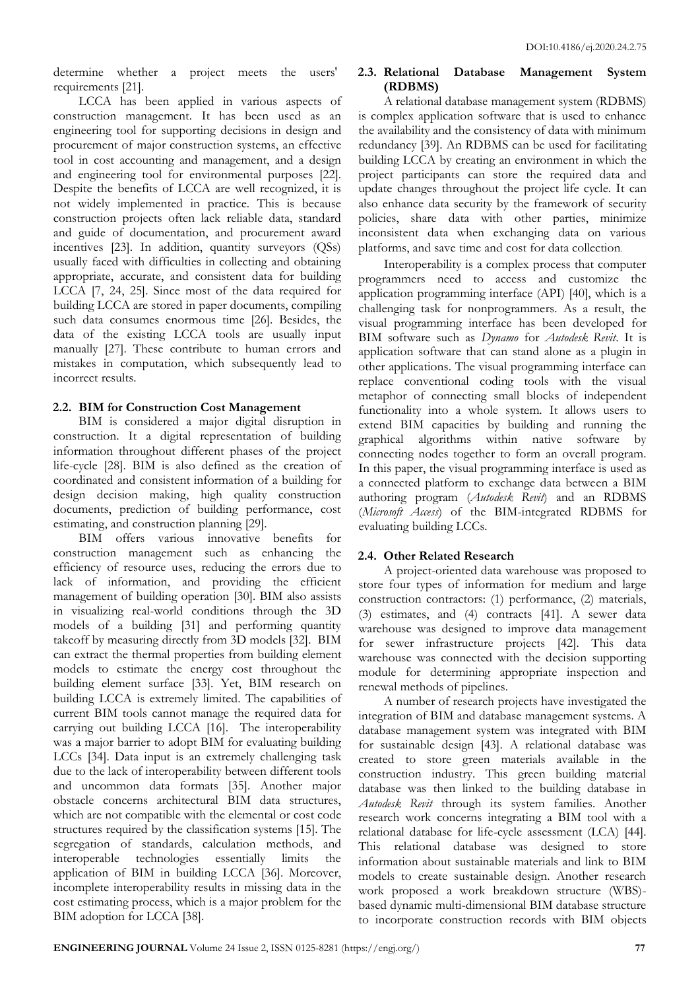determine whether a project meets the users' requirements [21].

LCCA has been applied in various aspects of construction management. It has been used as an engineering tool for supporting decisions in design and procurement of major construction systems, an effective tool in cost accounting and management, and a design and engineering tool for environmental purposes [22]. Despite the benefits of LCCA are well recognized, it is not widely implemented in practice. This is because construction projects often lack reliable data, standard and guide of documentation, and procurement award incentives [23]. In addition, quantity surveyors (QSs) usually faced with difficulties in collecting and obtaining appropriate, accurate, and consistent data for building LCCA [7, 24, 25]. Since most of the data required for building LCCA are stored in paper documents, compiling such data consumes enormous time [26]. Besides, the data of the existing LCCA tools are usually input manually [27]. These contribute to human errors and mistakes in computation, which subsequently lead to incorrect results.

## **2.2. BIM for Construction Cost Management**

BIM is considered a major digital disruption in construction. It a digital representation of building information throughout different phases of the project life-cycle [28]. BIM is also defined as the creation of coordinated and consistent information of a building for design decision making, high quality construction documents, prediction of building performance, cost estimating, and construction planning [29].

BIM offers various innovative benefits for construction management such as enhancing the efficiency of resource uses, reducing the errors due to lack of information, and providing the efficient management of building operation [30]. BIM also assists in visualizing real-world conditions through the 3D models of a building [31] and performing quantity takeoff by measuring directly from 3D models [32]. BIM can extract the thermal properties from building element models to estimate the energy cost throughout the building element surface [33]. Yet, BIM research on building LCCA is extremely limited. The capabilities of current BIM tools cannot manage the required data for carrying out building LCCA [16]. The interoperability was a major barrier to adopt BIM for evaluating building LCCs [34]. Data input is an extremely challenging task due to the lack of interoperability between different tools and uncommon data formats [35]. Another major obstacle concerns architectural BIM data structures, which are not compatible with the elemental or cost code structures required by the classification systems [15]. The segregation of standards, calculation methods, and interoperable technologies essentially limits the application of BIM in building LCCA [36]. Moreover, incomplete interoperability results in missing data in the cost estimating process, which is a major problem for the BIM adoption for LCCA [38].

## **2.3. Relational Database Management System (RDBMS)**

A relational database management system (RDBMS) is complex application software that is used to enhance the availability and the consistency of data with minimum redundancy [39]. An RDBMS can be used for facilitating building LCCA by creating an environment in which the project participants can store the required data and update changes throughout the project life cycle. It can also enhance data security by the framework of security policies, share data with other parties, minimize inconsistent data when exchanging data on various platforms, and save time and cost for data collection.

Interoperability is a complex process that computer programmers need to access and customize the application programming interface (API) [40], which is a challenging task for nonprogrammers. As a result, the visual programming interface has been developed for BIM software such as *Dynamo* for *Autodesk Revit*. It is application software that can stand alone as a plugin in other applications. The visual programming interface can replace conventional coding tools with the visual metaphor of connecting small blocks of independent functionality into a whole system. It allows users to extend BIM capacities by building and running the graphical algorithms within native software by connecting nodes together to form an overall program. In this paper, the visual programming interface is used as a connected platform to exchange data between a BIM authoring program (*Autodesk Revit*) and an RDBMS (*Microsoft Access*) of the BIM-integrated RDBMS for evaluating building LCCs.

## **2.4. Other Related Research**

A project-oriented data warehouse was proposed to store four types of information for medium and large construction contractors: (1) performance, (2) materials, (3) estimates, and (4) contracts [41]. A sewer data warehouse was designed to improve data management for sewer infrastructure projects [42]. This data warehouse was connected with the decision supporting module for determining appropriate inspection and renewal methods of pipelines.

A number of research projects have investigated the integration of BIM and database management systems. A database management system was integrated with BIM for sustainable design [43]. A relational database was created to store green materials available in the construction industry. This green building material database was then linked to the building database in *Autodesk Revit* through its system families. Another research work concerns integrating a BIM tool with a relational database for life-cycle assessment (LCA) [44]. This relational database was designed to store information about sustainable materials and link to BIM models to create sustainable design. Another research work proposed a work breakdown structure (WBS) based dynamic multi-dimensional BIM database structure to incorporate construction records with BIM objects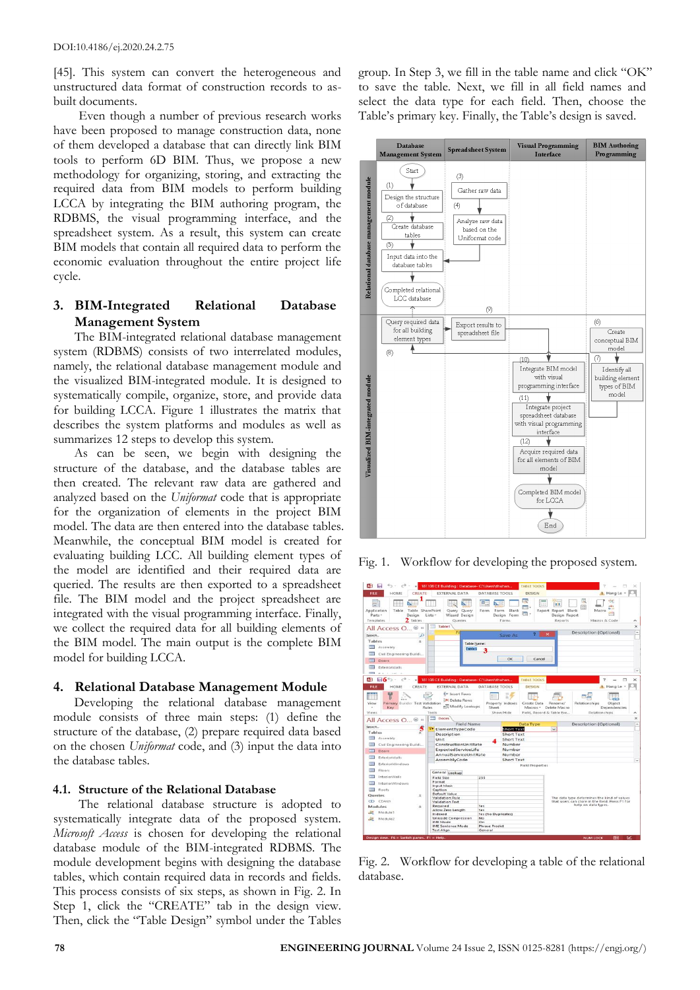[45]. This system can convert the heterogeneous and unstructured data format of construction records to asbuilt documents.

Even though a number of previous research works have been proposed to manage construction data, none of them developed a database that can directly link BIM tools to perform 6D BIM. Thus, we propose a new methodology for organizing, storing, and extracting the required data from BIM models to perform building LCCA by integrating the BIM authoring program, the RDBMS, the visual programming interface, and the spreadsheet system. As a result, this system can create BIM models that contain all required data to perform the economic evaluation throughout the entire project life cycle.

## **3. BIM-Integrated Relational Database Management System**

The BIM-integrated relational database management system (RDBMS) consists of two interrelated modules, namely, the relational database management module and the visualized BIM-integrated module. It is designed to systematically compile, organize, store, and provide data for building LCCA. Figure 1 illustrates the matrix that describes the system platforms and modules as well as summarizes 12 steps to develop this system.

As can be seen, we begin with designing the structure of the database, and the database tables are then created. The relevant raw data are gathered and analyzed based on the *Uniformat* code that is appropriate for the organization of elements in the project BIM model. The data are then entered into the database tables. Meanwhile, the conceptual BIM model is created for evaluating building LCC. All building element types of the model are identified and their required data are queried. The results are then exported to a spreadsheet file. The BIM model and the project spreadsheet are integrated with the visual programming interface. Finally, we collect the required data for all building elements of the BIM model. The main output is the complete BIM model for building LCCA.

## **4. Relational Database Management Module**

Developing the relational database management module consists of three main steps: (1) define the structure of the database, (2) prepare required data based on the chosen *Uniformat* code, and (3) input the data into the database tables.

#### **4.1. Structure of the Relational Database**

The relational database structure is adopted to systematically integrate data of the proposed system. *Microsoft Access* is chosen for developing the relational database module of the BIM-integrated RDBMS. The module development begins with designing the database tables, which contain required data in records and fields. This process consists of six steps, as shown in Fig. 2. In Step 1, click the "CREATE" tab in the design view. Then, click the "Table Design" symbol under the Tables

group. In Step 3, we fill in the table name and click "OK" to save the table. Next, we fill in all field names and select the data type for each field. Then, choose the Table's primary key. Finally, the Table's design is saved.



Fig. 1. Workflow for developing the proposed system.



Fig. 2. Workflow for developing a table of the relational database.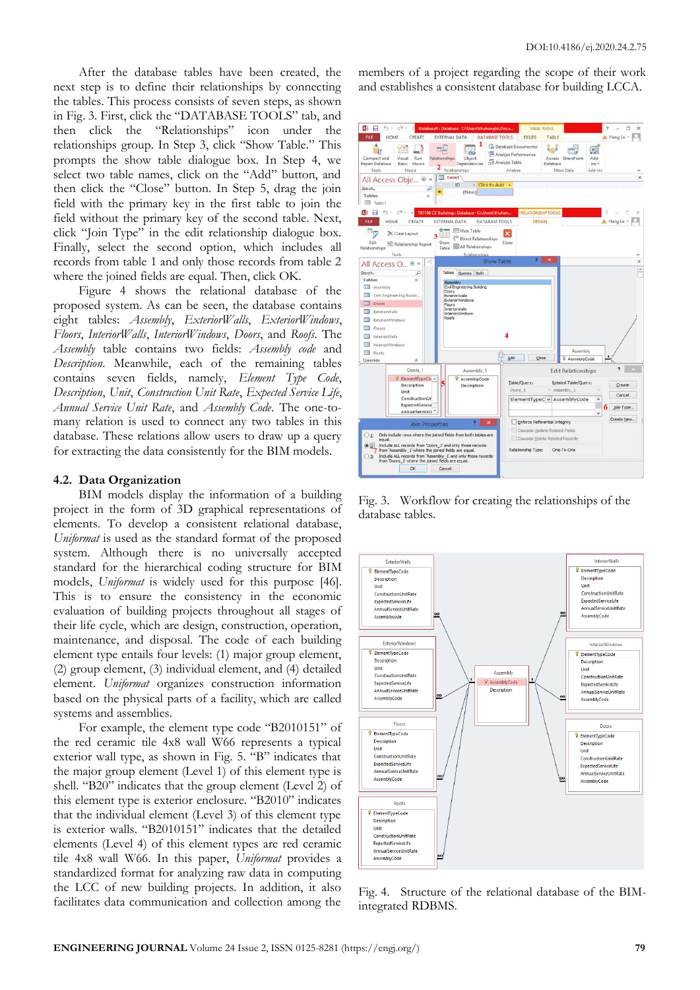After the database tables have been created, the next step is to define their relationships by connecting the tables. This process consists of seven steps, as shown in Fig. 3. First, click the "DATABASE TOOLS" tab, and then click the "Relationships" icon under the relationships group. In Step 3, click "Show Table." This prompts the show table dialogue box. In Step 4, we select two table names, click on the "Add" button, and then click the "Close" button. In Step 5, drag the join field with the primary key in the first table to join the field without the primary key of the second table. Next, click "Join Type" in the edit relationship dialogue box. Finally, select the second option, which includes all records from table 1 and only those records from table 2 where the joined fields are equal. Then, click OK.

Figure 4 shows the relational database of the proposed system. As can be seen, the database contains eight tables: *Assembly*, *ExteriorWalls*, *ExteriorWindows*, *Floors*, *InteriorWalls*, *InteriorWindows*, *Doors*, and *Roofs*. The *Assembly* table contains two fields: *Assembly code* and *Description*. Meanwhile, each of the remaining tables contains seven fields, namely, *Element Type Code*, *Description*, *Unit*, *Construction Unit Rate*, *Expected Service Life*, *Annual Service Unit Rate*, and *Assembly Code*. The one-tomany relation is used to connect any two tables in this database. These relations allow users to draw up a query for extracting the data consistently for the BIM models.

## **4.2. Data Organization**

BIM models display the information of a building project in the form of 3D graphical representations of elements. To develop a consistent relational database, *Uniformat* is used as the standard format of the proposed system. Although there is no universally accepted standard for the hierarchical coding structure for BIM models, *Uniformat* is widely used for this purpose [46]. This is to ensure the consistency in the economic evaluation of building projects throughout all stages of their life cycle, which are design, construction, operation, maintenance, and disposal. The code of each building element type entails four levels: (1) major group element, (2) group element, (3) individual element, and (4) detailed element. *Uniformat* organizes construction information based on the physical parts of a facility, which are called systems and assemblies.

For example, the element type code "B2010151" of the red ceramic tile 4x8 wall W66 represents a typical exterior wall type, as shown in Fig. 5. "B" indicates that the major group element (Level 1) of this element type is shell. "B20" indicates that the group element (Level 2) of this element type is exterior enclosure. "B2010" indicates that the individual element (Level 3) of this element type is exterior walls. "B2010151" indicates that the detailed elements (Level 4) of this element types are red ceramic tile 4x8 wall W66. In this paper, *Uniformat* provides a standardized format for analyzing raw data in computing the LCC of new building projects. In addition, it also facilitates data communication and collection among the members of a project regarding the scope of their work and establishes a consistent database for building LCCA.



Fig. 3. Workflow for creating the relationships of the database tables.



Fig. 4. Structure of the relational database of the BIMintegrated RDBMS.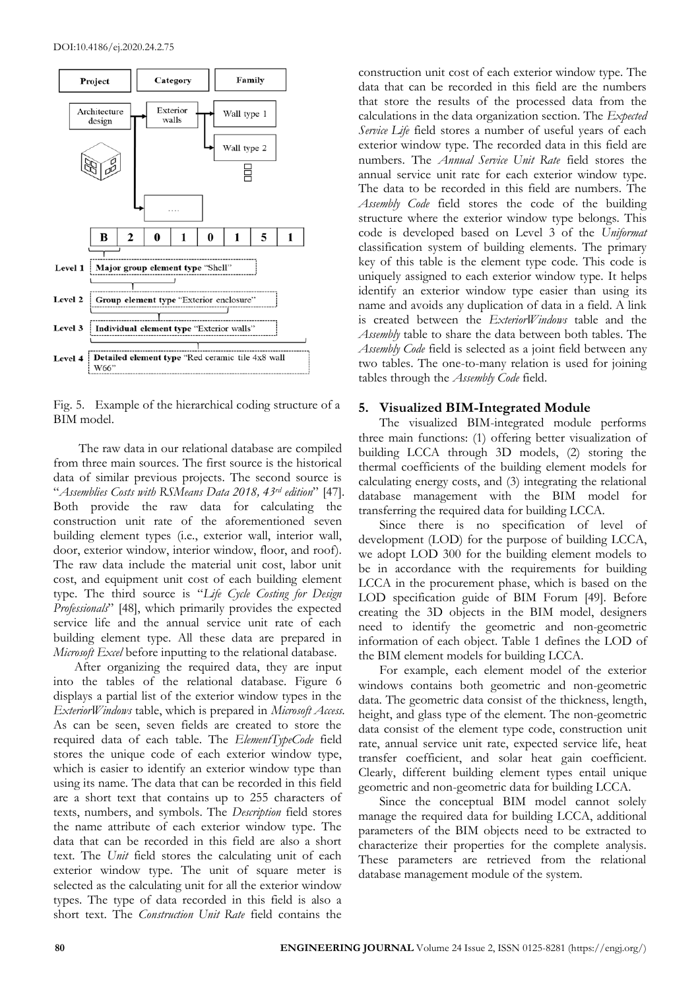

Fig. 5. Example of the hierarchical coding structure of a BIM model.

The raw data in our relational database are compiled from three main sources. The first source is the historical data of similar previous projects. The second source is "*Assemblies Costs with RSMeans Data 2018, 43rd edition*" [47]. Both provide the raw data for calculating the construction unit rate of the aforementioned seven building element types (i.e., exterior wall, interior wall, door, exterior window, interior window, floor, and roof). The raw data include the material unit cost, labor unit cost, and equipment unit cost of each building element type. The third source is "*Life Cycle Costing for Design Professionals*" [48], which primarily provides the expected service life and the annual service unit rate of each building element type. All these data are prepared in *Microsoft Excel* before inputting to the relational database.

After organizing the required data, they are input into the tables of the relational database. Figure 6 displays a partial list of the exterior window types in the *ExteriorWindows* table, which is prepared in *Microsoft Access*. As can be seen, seven fields are created to store the required data of each table. The *ElementTypeCode* field stores the unique code of each exterior window type, which is easier to identify an exterior window type than using its name. The data that can be recorded in this field are a short text that contains up to 255 characters of texts, numbers, and symbols. The *Description* field stores the name attribute of each exterior window type. The data that can be recorded in this field are also a short text. The *Unit* field stores the calculating unit of each exterior window type. The unit of square meter is selected as the calculating unit for all the exterior window types. The type of data recorded in this field is also a short text. The *Construction Unit Rate* field contains the

construction unit cost of each exterior window type. The data that can be recorded in this field are the numbers that store the results of the processed data from the calculations in the data organization section. The *Expected Service Life* field stores a number of useful years of each exterior window type. The recorded data in this field are numbers. The *Annual Service Unit Rate* field stores the annual service unit rate for each exterior window type. The data to be recorded in this field are numbers. The *Assembly Code* field stores the code of the building structure where the exterior window type belongs. This code is developed based on Level 3 of the *Uniformat* classification system of building elements. The primary key of this table is the element type code. This code is uniquely assigned to each exterior window type. It helps identify an exterior window type easier than using its name and avoids any duplication of data in a field. A link is created between the *ExteriorWindows* table and the *Assembly* table to share the data between both tables. The *Assembly Code* field is selected as a joint field between any two tables. The one-to-many relation is used for joining tables through the *Assembly Code* field.

#### **5. Visualized BIM-Integrated Module**

The visualized BIM-integrated module performs three main functions: (1) offering better visualization of building LCCA through 3D models, (2) storing the thermal coefficients of the building element models for calculating energy costs, and (3) integrating the relational database management with the BIM model for transferring the required data for building LCCA.

Since there is no specification of level of development (LOD) for the purpose of building LCCA, we adopt LOD 300 for the building element models to be in accordance with the requirements for building LCCA in the procurement phase, which is based on the LOD specification guide of BIM Forum [49]. Before creating the 3D objects in the BIM model, designers need to identify the geometric and non-geometric information of each object. Table 1 defines the LOD of the BIM element models for building LCCA.

For example, each element model of the exterior windows contains both geometric and non-geometric data. The geometric data consist of the thickness, length, height, and glass type of the element. The non-geometric data consist of the element type code, construction unit rate, annual service unit rate, expected service life, heat transfer coefficient, and solar heat gain coefficient. Clearly, different building element types entail unique geometric and non-geometric data for building LCCA.

Since the conceptual BIM model cannot solely manage the required data for building LCCA, additional parameters of the BIM objects need to be extracted to characterize their properties for the complete analysis. These parameters are retrieved from the relational database management module of the system.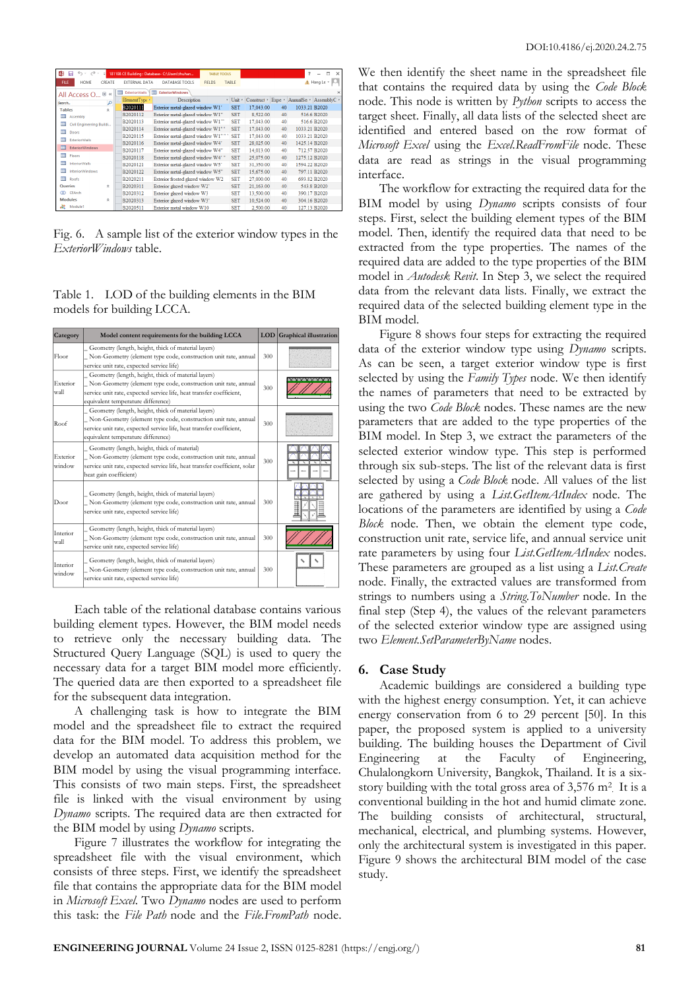| AB            | $\rightarrow$ .<br>口<br>$\omega$ | ×.     |                                                               | 181108 CE Building : Database- C:\Users\thuhan |               | TABLE TOOLS |                      |           |    | Ŧ.            | п<br>$\times$                             |  |
|---------------|----------------------------------|--------|---------------------------------------------------------------|------------------------------------------------|---------------|-------------|----------------------|-----------|----|---------------|-------------------------------------------|--|
| <b>FILE</b>   | <b>HOMF</b>                      | CREATE | <b>EXTERNAL DATA</b>                                          | <b>DATABASE TOOLS</b>                          | <b>FIELDS</b> |             | <b>TABLE</b>         |           |    |               | A. Hang Le *                              |  |
|               | All Access O ® «                 |        | m<br>m<br><b>ExteriorWalls</b><br><b>ExteriorWindows</b><br>× |                                                |               |             |                      |           |    |               |                                           |  |
| Search        |                                  | م      | ElementType *                                                 | Description                                    |               |             | $\cdot$ Unit $\cdot$ |           |    |               | Construct • Expe • AnnualSe • AssemblyC • |  |
| <b>Tables</b> |                                  | ó,     | B2020111                                                      | Exterior metal-glazed window W1'               |               |             | <b>SET</b>           | 17.043.00 | 40 | 1033.21 B2020 |                                           |  |
| 讍             | Assembly                         |        | B2020112                                                      | Exterior metal-glazed window W1"               |               |             | <b>SET</b>           | 8,522.00  | 40 |               | 516.6 B2020                               |  |
| 用             | Civil Engineering Buildi         |        | B2020113                                                      | Exterior metal-glazed window W1""              |               |             | <b>SET</b>           | 17,043.00 | 40 |               | 516.6 B2020                               |  |
| ⊞             | Doors                            |        | B2020114                                                      | Exterior metal-glazed window W1""              |               |             | <b>SET</b>           | 17.043.00 | 40 | 1033 21 B2020 |                                           |  |
| 镾             | <b>ExteriorWalls</b>             |        | B2020115                                                      | Exterior metal-glazed window W1""              |               |             | <b>SET</b>           | 17.043.00 | 40 | 1033 21 B2020 |                                           |  |
|               |                                  |        | B2020116                                                      | Exterior metal-glazed window W4'               |               |             | <b>SET</b>           | 28.025.00 | 40 | 1425 14 B2020 |                                           |  |
| 用             | <b>ExteriorWindows</b>           |        | B2020117                                                      | Exterior metal-glazed window W4"               |               |             | <b>SET</b>           | 14,013.00 | 40 |               | 712.57 B2020                              |  |
| 镾             | Floors                           |        | B2020118                                                      | Exterior metal-glazed window W4'"              |               |             | <b>SET</b>           | 25,075.00 | 40 | 1275.12 B2020 |                                           |  |
| 镾             | <b>InteriorWalls</b>             |        | B2020121                                                      | Exterior metal-glazed window W5'               |               |             | <b>SET</b>           | 31.350.00 | 40 | 1594.22 B2020 |                                           |  |
| m             | <b>InteriorWindows</b>           |        | B2020122                                                      | Exterior metal-glazed window W5"               |               |             | <b>SET</b>           | 15.675.00 | 40 |               | 797 11 B2020                              |  |
| 皿             | Roofs                            |        | B2020211                                                      | Exterior frosted glazed window W2              |               |             | <b>SET</b>           | 27,000.00 | 40 |               | 693 82 B2020                              |  |
| Queries       |                                  | 会      | B2020311                                                      | Exterior glazed window W2'                     |               |             | <b>SET</b>           | 21.163.00 | 40 |               | 543.8 B2020                               |  |
| ത             | CFArch                           |        | B2020312                                                      | Exterior glazed window W3                      |               |             | <b>SET</b>           | 13,500.00 | 40 |               | 390.17 B2020                              |  |
|               | <b>Modules</b>                   | 会      | B2020313                                                      | Exterior glazed window W3'                     |               |             | <b>SET</b>           | 10,524.00 | 40 |               | 304.16 B2020                              |  |
| æ             | Module1                          |        | B2020511                                                      | Exterior metal window W10                      |               |             | <b>SET</b>           | 2,500.00  | 40 |               | 127.13 B2020                              |  |

Fig. 6. A sample list of the exterior window types in the *ExteriorWindows* table.

| Table 1. LOD of the building elements in the BIM |
|--------------------------------------------------|
| models for building LCCA.                        |

| Category           | Model content requirements for the building LCCA                                                                                                                                                                                     |     | LOD Graphical illustration |
|--------------------|--------------------------------------------------------------------------------------------------------------------------------------------------------------------------------------------------------------------------------------|-----|----------------------------|
| Floor              | Geometry (length, height, thick of material layers)<br>Non-Geometry (element type code, construction unit rate, annual<br>service unit rate, expected service life)                                                                  | 300 |                            |
| Exterior<br>wall   | Geometry (length, height, thick of material layers)<br>Non-Geometry (element type code, construction unit rate, annual<br>service unit rate, expected service life, heat transfer coefficient,<br>equivalent temperature difference) | 300 |                            |
| Roof               | Geometry (length, height, thick of material layers)<br>Non-Geometry (element type code, construction unit rate, annual<br>service unit rate, expected service life, heat transfer coefficient,<br>equivalent temperature difference) | 300 |                            |
| Exterior<br>window | Geometry (length, height, thick of material)<br>Non-Geometry (element type code, construction unit rate, annual<br>service unit rate, expected service life, heat transfer coefficient, solar<br>heat gain coefficient)              | 300 |                            |
| Door               | Geometry (length, height, thick of material layers)<br>Non-Geometry (element type code, construction unit rate, annual<br>service unit rate, expected service life)                                                                  | 300 |                            |
| Interior<br>wall   | Geometry (length, height, thick of material layers)<br>Non-Geometry (element type code, construction unit rate, annual<br>service unit rate, expected service life)                                                                  | 300 |                            |
| Interior<br>window | Geometry (length, height, thick of material layers)<br>Non-Geometry (element type code, construction unit rate, annual<br>service unit rate, expected service life)                                                                  | 300 |                            |

Each table of the relational database contains various building element types. However, the BIM model needs to retrieve only the necessary building data. The Structured Query Language (SQL) is used to query the necessary data for a target BIM model more efficiently. The queried data are then exported to a spreadsheet file for the subsequent data integration.

A challenging task is how to integrate the BIM model and the spreadsheet file to extract the required data for the BIM model. To address this problem, we develop an automated data acquisition method for the BIM model by using the visual programming interface. This consists of two main steps. First, the spreadsheet file is linked with the visual environment by using *Dynamo* scripts. The required data are then extracted for the BIM model by using *Dynamo* scripts.

Figure 7 illustrates the workflow for integrating the spreadsheet file with the visual environment, which consists of three steps. First, we identify the spreadsheet file that contains the appropriate data for the BIM model in *Microsoft Excel*. Two *Dynamo* nodes are used to perform this task: the *File Path* node and the *File.FromPath* node. We then identify the sheet name in the spreadsheet file that contains the required data by using the *Code Block* node. This node is written by *Python* scripts to access the target sheet. Finally, all data lists of the selected sheet are identified and entered based on the row format of *Microsoft Excel* using the *Excel.ReadFromFile* node. These data are read as strings in the visual programming interface.

The workflow for extracting the required data for the BIM model by using *Dynamo* scripts consists of four steps. First, select the building element types of the BIM model. Then, identify the required data that need to be extracted from the type properties. The names of the required data are added to the type properties of the BIM model in *Autodesk Revit*. In Step 3, we select the required data from the relevant data lists. Finally, we extract the required data of the selected building element type in the BIM model.

Figure 8 shows four steps for extracting the required data of the exterior window type using *Dynamo* scripts. As can be seen, a target exterior window type is first selected by using the *Family Types* node. We then identify the names of parameters that need to be extracted by using the two *Code Block* nodes. These names are the new parameters that are added to the type properties of the BIM model. In Step 3, we extract the parameters of the selected exterior window type. This step is performed through six sub-steps. The list of the relevant data is first selected by using a *Code Block* node. All values of the list are gathered by using a *List.GetItemAtIndex* node. The locations of the parameters are identified by using a *Code Block* node. Then, we obtain the element type code, construction unit rate, service life, and annual service unit rate parameters by using four *List.GetItemAtIndex* nodes. These parameters are grouped as a list using a *List.Create* node. Finally, the extracted values are transformed from strings to numbers using a *String.ToNumber* node. In the final step (Step 4), the values of the relevant parameters of the selected exterior window type are assigned using two *Element.SetParameterByName* nodes.

#### **6. Case Study**

Academic buildings are considered a building type with the highest energy consumption. Yet, it can achieve energy conservation from 6 to 29 percent [50]. In this paper, the proposed system is applied to a university building. The building houses the Department of Civil Engineering at the Faculty of Engineering, Chulalongkorn University, Bangkok, Thailand. It is a sixstory building with the total gross area of 3,576 m<sup>2</sup>. It is a conventional building in the hot and humid climate zone. The building consists of architectural, structural, mechanical, electrical, and plumbing systems. However, only the architectural system is investigated in this paper. Figure 9 shows the architectural BIM model of the case study.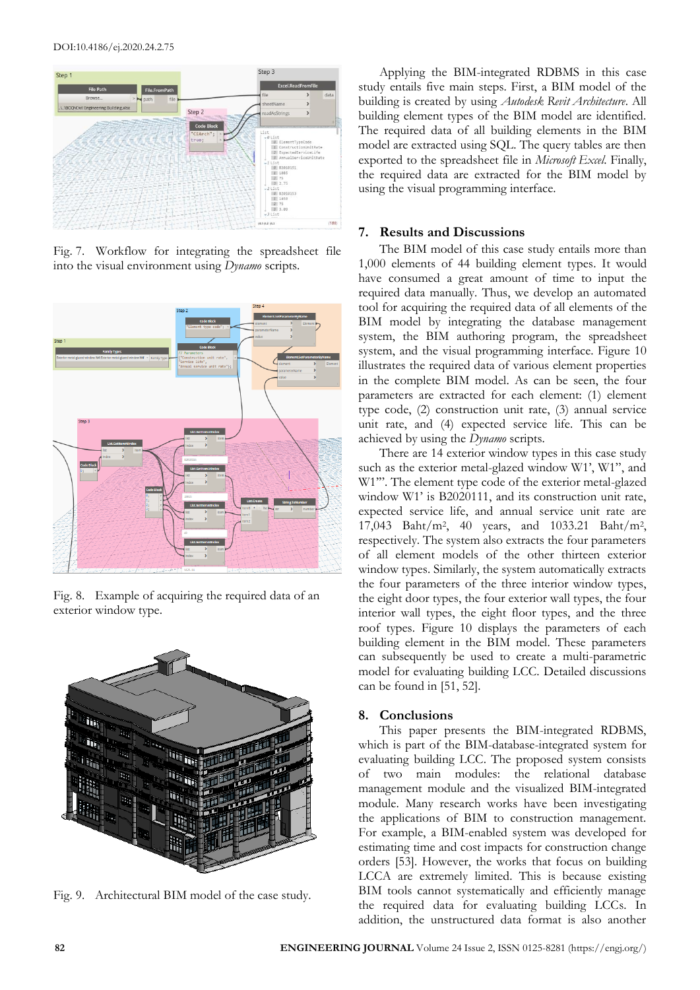#### DOI:10.4186/ej.2020.24.2.75



Fig. 7. Workflow for integrating the spreadsheet file into the visual environment using *Dynamo* scripts.



Fig. 8. Example of acquiring the required data of an exterior window type.



Fig. 9. Architectural BIM model of the case study.

Applying the BIM-integrated RDBMS in this case study entails five main steps. First, a BIM model of the building is created by using *Autodesk Revit Architecture*. All building element types of the BIM model are identified. The required data of all building elements in the BIM model are extracted using SQL. The query tables are then exported to the spreadsheet file in *Microsoft Excel*. Finally, the required data are extracted for the BIM model by using the visual programming interface.

## **7. Results and Discussions**

The BIM model of this case study entails more than 1,000 elements of 44 building element types. It would have consumed a great amount of time to input the required data manually. Thus, we develop an automated tool for acquiring the required data of all elements of the BIM model by integrating the database management system, the BIM authoring program, the spreadsheet system, and the visual programming interface. Figure 10 illustrates the required data of various element properties in the complete BIM model. As can be seen, the four parameters are extracted for each element: (1) element type code, (2) construction unit rate, (3) annual service unit rate, and (4) expected service life. This can be achieved by using the *Dynamo* scripts.

There are 14 exterior window types in this case study such as the exterior metal-glazed window W1', W1", and W1'". The element type code of the exterior metal-glazed window W1' is B2020111, and its construction unit rate, expected service life, and annual service unit rate are 17,043 Baht/m<sup>2</sup> , 40 years, and 1033.21 Baht/m<sup>2</sup> , respectively. The system also extracts the four parameters of all element models of the other thirteen exterior window types. Similarly, the system automatically extracts the four parameters of the three interior window types, the eight door types, the four exterior wall types, the four interior wall types, the eight floor types, and the three roof types. Figure 10 displays the parameters of each building element in the BIM model. These parameters can subsequently be used to create a multi-parametric model for evaluating building LCC. Detailed discussions can be found in [51, 52].

## **8. Conclusions**

This paper presents the BIM-integrated RDBMS, which is part of the BIM-database-integrated system for evaluating building LCC. The proposed system consists of two main modules: the relational database management module and the visualized BIM-integrated module. Many research works have been investigating the applications of BIM to construction management. For example, a BIM-enabled system was developed for estimating time and cost impacts for construction change orders [53]. However, the works that focus on building LCCA are extremely limited. This is because existing BIM tools cannot systematically and efficiently manage the required data for evaluating building LCCs. In addition, the unstructured data format is also another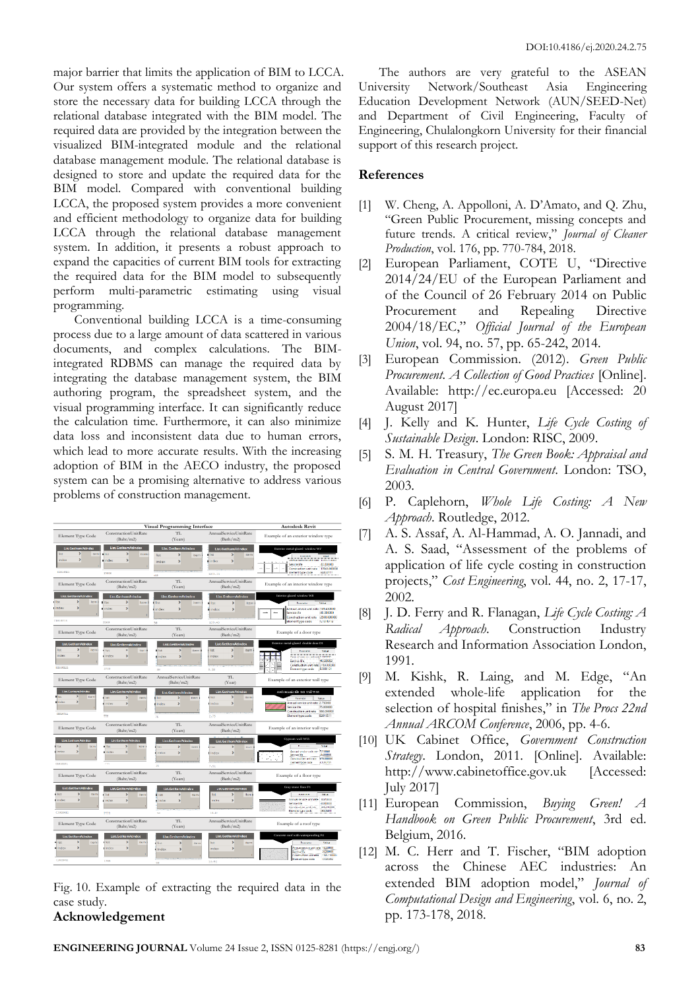major barrier that limits the application of BIM to LCCA. Our system offers a systematic method to organize and store the necessary data for building LCCA through the relational database integrated with the BIM model. The required data are provided by the integration between the visualized BIM-integrated module and the relational database management module. The relational database is designed to store and update the required data for the BIM model. Compared with conventional building LCCA, the proposed system provides a more convenient and efficient methodology to organize data for building LCCA through the relational database management system. In addition, it presents a robust approach to expand the capacities of current BIM tools for extracting the required data for the BIM model to subsequently perform multi-parametric estimating using visual programming.

Conventional building LCCA is a time-consuming process due to a large amount of data scattered in various documents, and complex calculations. The BIMintegrated RDBMS can manage the required data by integrating the database management system, the BIM authoring program, the spreadsheet system, and the visual programming interface. It can significantly reduce the calculation time. Furthermore, it can also minimize data loss and inconsistent data due to human errors, which lead to more accurate results. With the increasing adoption of BIM in the AECO industry, the proposed system can be a promising alternative to address various problems of construction management.

|                                                                                                                     | Visual Programming Interface                                                                     | <b>Autodesk Revit</b>                                                                         |                                                                                          |                                                                                                                                                                                                                |
|---------------------------------------------------------------------------------------------------------------------|--------------------------------------------------------------------------------------------------|-----------------------------------------------------------------------------------------------|------------------------------------------------------------------------------------------|----------------------------------------------------------------------------------------------------------------------------------------------------------------------------------------------------------------|
| Element Type Code                                                                                                   | ConstructionUnitRate<br>(Baht/m2)                                                                | TT.<br>(Years)                                                                                | AnnualServiceUnitRate<br>(Bath/m2)                                                       | Example of an exterior window type                                                                                                                                                                             |
| List.GetItemAtIndex<br>×<br>list<br><b>Darry</b><br>$\rightarrow$<br>index<br>62628111                              | List.GetItemAtIndex<br>$\overline{ }$<br>Bot<br>item<br>index<br>$\rightarrow$<br>17843          | <b>List.GetItemAtIndex</b><br>list<br>$\overline{ }$<br>item.<br>$\rightarrow$<br>index<br>40 | List.GetItemAtIndex<br>$\mathbf{r}$<br>list<br>Item<br>index<br>$\rightarrow$<br>1033.21 | Exterior metal-glazed window W1'<br>Process<br>Value<br>Annual service unit rate 1033.210000<br>40.000000<br>Service life<br>17043.000000<br><b>Construction unit rate</b><br>Element type code<br>82020111    |
| Element Type Code                                                                                                   | ConstructionUnitRate<br>(Baht/m2)                                                                | TL.<br>(Years)                                                                                | AnnualServiceUnitRate<br>(Bath/m2)                                                       | Example of an interior window type                                                                                                                                                                             |
| List.GetItemAtIndex<br>s<br>list<br>Item<br>$\overline{ }$<br>Index<br>01010713                                     | List.GetItemAtIndex<br>$\mathbf{r}$<br><b>Ilst</b><br>Item<br>$\rightarrow$<br>Index<br>2586     | List.GetItemAtIndex<br>tion<br>$\mathbf{r}$<br>item<br>$\overline{ }$<br>index<br>3e          | List.GetItemAtIndex<br>list<br>$\mathbf{r}$<br>Item<br>index<br>$\overline{ }$<br>139.43 | Interior glazed window W8<br>Passage<br>Value<br>Annual scrvice unit rate 139,430000<br>Service life<br>30 DROOM<br>Construction unit rate<br>12500 000000<br>Element type code<br>C1010713                    |
| Element Type Code                                                                                                   | ConstructionUnitRate<br>(Baht/m2)                                                                | TL<br>(Years)                                                                                 | AnnualServiceUnitRate<br>(Bath/m2)                                                       | Example of a door type                                                                                                                                                                                         |
| <b>List.GetItemAtIndex</b><br>$\mathbf{r}$<br>list<br>item<br>index<br>$\overline{ }$<br>82838121                   | <b>List.GetitemAtIndex</b><br>Þ<br>list.<br>item<br>Index<br>$\rightarrow$<br>3760               | <b>List.GetItemAtIndex</b><br>$\mathbf{r}$<br>list<br>item<br>$\rightarrow$<br>index<br>A42   | List.GetItemAtIndex<br>list<br>$\mathbf{r}$<br>item<br>index<br>s<br>9.18                | Exterior metal-glazed double door D1<br>Peacone<br>Value<br>Annual service unit ret 9,180000<br>Service life<br>40.000000<br>Construction unit rate 3759.00000<br>B2030121<br>Element type code                |
| Element Type Code                                                                                                   | ConstructionUnitRate<br>(Baht/m2)                                                                | AnnualServiceUnitRate<br>(Baht/m2)                                                            | TL<br>(Year)                                                                             | Example of an exterior wall type                                                                                                                                                                               |
| Lisz.GetitemAtindex<br>$\rightarrow$<br><b>Sat</b><br><b>Rivers</b><br>index<br>$\overline{\phantom{a}}$<br>manatin | List.GetitemAtindex<br>list<br>$\overline{\phantom{1}}$<br>item<br>$\rightarrow$<br>Index<br>toe | List.GetItemAtIndex<br>list<br>$\rightarrow$<br>Item<br>×<br>Index<br>75                      | List.GettemAtIndex<br>Bst<br>$\overline{ }$<br>item<br>index<br>×.<br>2.75               | Red ceramic tile 4x8 wall W66<br>Perameter<br>Value<br>Annual service unit rate 2.750000<br>75 poppon<br><b>Service life</b><br>Construction unit rate<br>\$\$0,000000<br>B2010511<br><b>Element type code</b> |
| Element Type Code                                                                                                   | ConstructionUnitRate<br>(Baht/m2)                                                                | TT.<br>(Years)                                                                                | AnnualServiceUnitRate<br>(Bath/m2)                                                       | Example of an interior wall type                                                                                                                                                                               |
| <b>List.GetItemAtIndex</b><br><b>Ber</b><br>$\rightarrow$<br><b>Ibron</b><br>Index<br>$\mathbf{r}$<br>conars        | List.GettemAtIndex<br>$\rightarrow$<br>lite<br><b>Reco</b><br>index<br>$\rightarrow$<br>che      | List.GetItemAtIndex<br>×.<br>list<br>item.<br>$\overline{ }$<br>index<br>36                   | List.GetItemAtIndex<br>list<br>×<br>lisem<br>$\rightarrow$<br>Index<br>7.51              | Gypsum wall WSS<br>Promine<br>Value<br>Annual service unit rate 17,510000<br>Service Ime<br><b>IN ODDERES</b><br>Construction unit rate<br>cm recent<br>Llement type code<br>chings1                           |
| Element Type Code                                                                                                   | ConstructionUnitRate<br>(Baht/m2)                                                                | TL<br>(Years)                                                                                 | AnnualServiceUnitRate<br>(Bath/m2)                                                       | Example of a floor type                                                                                                                                                                                        |
| List.GetitemAtIndex<br>×.<br>list<br><b>Item</b><br>×<br>index<br>C3826411                                          | List.GetItemAtIndex<br>$\rightarrow$<br><b>Tist</b><br>iterr<br>inches<br>s<br><b>TANK</b>       | List.GetItemAtIndex<br>list<br>$\mathcal{P}$<br>Item<br>Index<br>$\overline{ }$<br>58         | List.GetItemAtIndex<br>list<br>×.<br><b>Item</b><br>index<br>$\,$<br>18.83               | Gray stone floor F1<br>Programs<br>Value<br>Annual senate unit mit-<br><b>10 DAY 033</b><br>Service life<br>50.000000<br>1436.310000<br>Construction unit rate<br>Element type code<br>C3020411                |
| Element Type Code                                                                                                   | ConstructionUnitRate<br>(Baht/m2)                                                                | TL<br>(Years)                                                                                 | AnnualServiceUnitRate<br>(Bath/m2)                                                       | Example of a roof type                                                                                                                                                                                         |
| List.GetItemAtin<br>list.<br>$\mathbf{r}$<br>Item<br>index<br>$\mathbf{r}$<br>03828452                              | List.GetItemAtIndex<br>lier<br>$\,$<br>item<br>index<br>×<br>1769                                | <b>List.GetItemAtIndex</b><br>list<br>×<br>itern<br>$\rightarrow$<br>Index<br>58              | List.GetItemAtIndex<br>list<br>×<br>iterr<br>$\rightarrow$<br>index<br>18.62             | Concrete roof with waterproofing F4<br>Value<br>Promine<br>Annual service unit rate 18,020002<br>20.000000<br><b>Contractive</b><br>1785.170300<br>Contraction unit off<br>Element type code<br>caronaso       |

Fig. 10. Example of extracting the required data in the case study.

# **Acknowledgement**

The authors are very grateful to the ASEAN University Network/Southeast Asia Engineering Education Development Network (AUN/SEED-Net) and Department of Civil Engineering, Faculty of Engineering, Chulalongkorn University for their financial support of this research project.

# **References**

- [1] W. Cheng, A. Appolloni, A. D'Amato, and Q. Zhu, "Green Public Procurement, missing concepts and future trends. A critical review," *Journal of Cleaner Production*, vol. 176, pp. 770-784, 2018.
- [2] European Parliament, COTE U, "Directive 2014/24/EU of the European Parliament and of the Council of 26 February 2014 on Public Procurement and Repealing Directive 2004/18/EC," *Official Journal of the European Union*, vol. 94, no. 57, pp. 65-242, 2014.
- [3] European Commission. (2012). *Green Public Procurement. A Collection of Good Practices* [Online]. Available: [http://ec.europa.eu](http://ec.europa.eu/) [Accessed: 20 August 2017]
- [4] J. Kelly and K. Hunter, *Life Cycle Costing of Sustainable Design*. London: RISC, 2009.
- [5] S. M. H. Treasury, *The Green Book: Appraisal and Evaluation in Central Government*. London: TSO, 2003.
- [6] P. Caplehorn, *Whole Life Costing: A New Approach*. Routledge, 2012.
- [7] A. S. Assaf, A. Al-Hammad, A. O. Jannadi, and A. S. Saad, "Assessment of the problems of application of life cycle costing in construction projects," *Cost Engineering*, vol. 44, no. 2, 17-17, 2002.
- [8] J. D. Ferry and R. Flanagan, *Life Cycle Costing: A Radical Approach*. Construction Industry Research and Information Association London, 1991.
- [9] M. Kishk, R. Laing, and M. Edge, "An extended whole-life application for the selection of hospital finishes," in *The Procs 22nd Annual ARCOM Conference*, 2006, pp. 4-6.
- [10] UK Cabinet Office, *Government Construction Strategy*. London, 2011. [Online]. Available: [http://www.cabinetoffice.gov.uk](http://www.cabinetoffice.gov.uk/) [Accessed: July 2017]
- [11] European Commission, *Buying Green! A Handbook on Green Public Procurement*, 3rd ed. Belgium, 2016.
- [12] M. C. Herr and T. Fischer, "BIM adoption across the Chinese AEC industries: An extended BIM adoption model," *Journal of Computational Design and Engineering*, vol. 6, no. 2, pp. 173-178, 2018.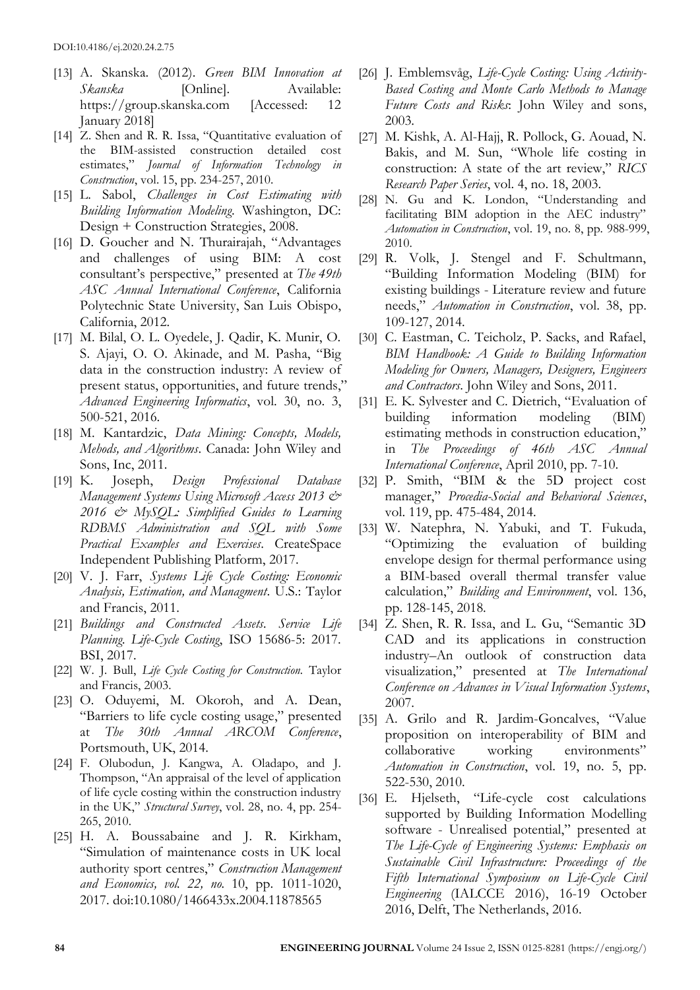- [13] A. Skanska. (2012). *Green BIM Innovation at Skanska* [Online]. Available: [https://group.skanska.com](https://group.skanska.com/) [Accessed: 12 January 2018]
- [14] Z. Shen and R. R. Issa, "Quantitative evaluation of the BIM-assisted construction detailed cost estimates," *Journal of Information Technology in Construction*, vol. 15, pp. 234-257, 2010.
- [15] L. Sabol, *Challenges in Cost Estimating with Building Information Modeling*. Washington, DC: Design + Construction Strategies, 2008.
- [16] D. Goucher and N. Thurairajah, "Advantages" and challenges of using BIM: A cost consultant's perspective," presented at *The 49th ASC Annual International Conference*, California Polytechnic State University, San Luis Obispo, California, 2012.
- [17] M. Bilal, O. L. Oyedele, J. Qadir, K. Munir, O. S. Ajayi, O. O. Akinade, and M. Pasha, "Big data in the construction industry: A review of present status, opportunities, and future trends," *Advanced Engineering Informatics*, vol. 30, no. 3, 500-521, 2016.
- [18] M. Kantardzic, *Data Mining: Concepts, Models, Mehods, and Algorithms*. Canada: John Wiley and Sons, Inc, 2011.
- [19] K. Joseph, *Design Professional Database Management Systems Using Microsoft Access 2013 & 2016 & MySQL: Simplified Guides to Learning RDBMS Administration and SQL with Some Practical Examples and Exercises*. CreateSpace Independent Publishing Platform, 2017.
- [20] V. J. Farr, *Systems Life Cycle Costing: Economic Analysis, Estimation, and Managment*. U.S.: Taylor and Francis, 2011.
- [21] *Buildings and Constructed Assets. Service Life Planning. Life-Cycle Costing*, ISO 15686-5: 2017. BSI, 2017.
- [22] W. J. Bull, *Life Cycle Costing for Construction.* Taylor and Francis, 2003.
- [23] O. Oduyemi, M. Okoroh, and A. Dean, "Barriers to life cycle costing usage," presented at *The 30th Annual ARCOM Conference*, Portsmouth, UK, 2014.
- [24] F. Olubodun, J. Kangwa, A. Oladapo, and J. Thompson, "An appraisal of the level of application of life cycle costing within the construction industry in the UK," *Structural Survey*, vol. 28, no. 4, pp. 254- 265, 2010.
- [25] H. A. Boussabaine and J. R. Kirkham, "Simulation of maintenance costs in UK local authority sport centres," *Construction Management and Economics, vol. 22, no.* 10, pp. 1011-1020, 2017. doi:10.1080/1466433x.2004.11878565
- [26] J. Emblemsvåg, *Life-Cycle Costing: Using Activity-Based Costing and Monte Carlo Methods to Manage Future Costs and Risks*: John Wiley and sons, 2003.
- [27] M. Kishk, A. Al-Hajj, R. Pollock, G. Aouad, N. Bakis, and M. Sun, "Whole life costing in construction: A state of the art review," *RICS Research Paper Series*, vol. 4, no. 18, 2003.
- [28] N. Gu and K. London, "Understanding and facilitating BIM adoption in the AEC industry" *Automation in Construction*, vol. 19, no. 8, pp. 988-999, 2010.
- [29] R. Volk, J. Stengel and F. Schultmann, "Building Information Modeling (BIM) for existing buildings - Literature review and future needs," *Automation in Construction*, vol. 38, pp. 109-127, 2014.
- [30] C. Eastman, C. Teicholz, P. Sacks, and Rafael, *BIM Handbook: A Guide to Building Information Modeling for Owners, Managers, Designers, Engineers and Contractors*. John Wiley and Sons, 2011.
- [31] E. K. Sylvester and C. Dietrich, "Evaluation of building information modeling (BIM) estimating methods in construction education," in *The Proceedings of 46th ASC Annual International Conference*, April 2010, pp. 7-10.
- [32] P. Smith, "BIM & the 5D project cost manager," *Procedia-Social and Behavioral Sciences*, vol. 119, pp. 475-484, 2014.
- [33] W. Natephra, N. Yabuki, and T. Fukuda, "Optimizing the evaluation of building envelope design for thermal performance using a BIM-based overall thermal transfer value calculation," *Building and Environment*, vol. 136, pp. 128-145, 2018.
- [34] Z. Shen, R. R. Issa, and L. Gu, "Semantic 3D CAD and its applications in construction industry–An outlook of construction data visualization," presented at *The International Conference on Advances in Visual Information Systems*, 2007.
- [35] A. Grilo and R. Jardim-Goncalves, "Value proposition on interoperability of BIM and collaborative working environments" *Automation in Construction*, vol. 19, no. 5, pp. 522-530, 2010.
- [36] E. Hjelseth, "Life-cycle cost calculations supported by Building Information Modelling software - Unrealised potential," presented at *The Life-Cycle of Engineering Systems: Emphasis on Sustainable Civil Infrastructure: Proceedings of the Fifth International Symposium on Life-Cycle Civil Engineering* (IALCCE 2016), 16-19 October 2016, Delft, The Netherlands, 2016.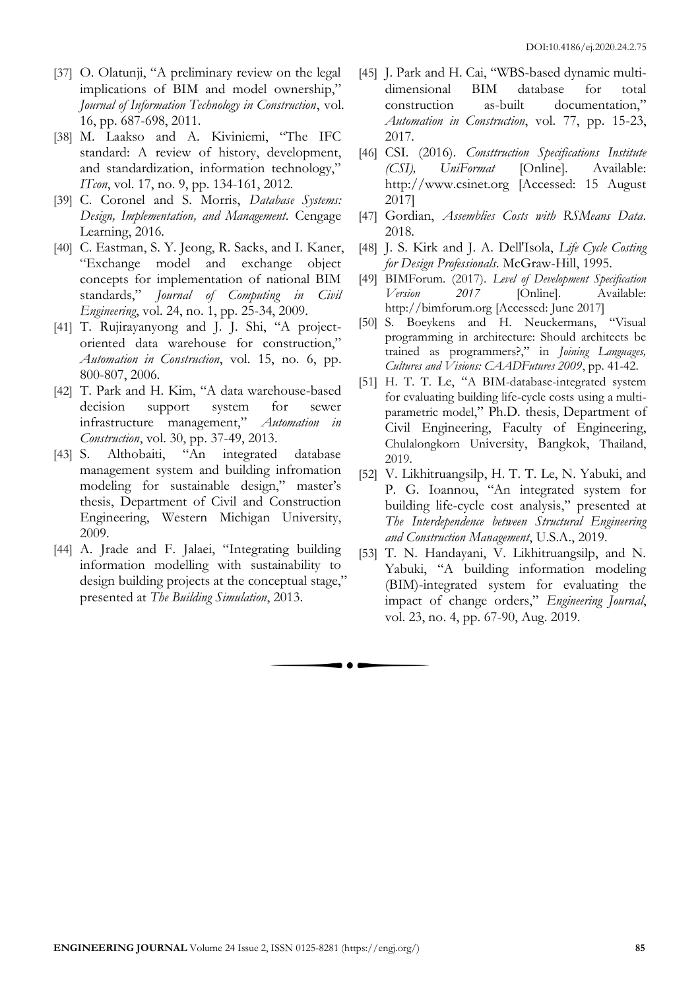- [37] O. Olatunji, "A preliminary review on the legal implications of BIM and model ownership," *Journal of Information Technology in Construction*, vol. 16, pp. 687-698, 2011.
- [38] M. Laakso and A. Kiviniemi, "The IFC standard: A review of history, development, and standardization, information technology," *ITcon*, vol. 17, no. 9, pp. 134-161, 2012.
- [39] C. Coronel and S. Morris, *Database Systems: Design, Implementation, and Management*. Cengage Learning, 2016.
- [40] C. Eastman, S. Y. Jeong, R. Sacks, and I. Kaner, "Exchange model and exchange object concepts for implementation of national BIM standards," *Journal of Computing in Civil Engineering*, vol. 24, no. 1, pp. 25-34, 2009.
- [41] T. Rujirayanyong and J. J. Shi, "A projectoriented data warehouse for construction," *Automation in Construction*, vol. 15, no. 6, pp. 800-807, 2006.
- [42] T. Park and H. Kim, "A data warehouse-based decision support system for sewer infrastructure management," *Automation in Construction*, vol. 30, pp. 37-49, 2013.
- [43] S. Althobaiti, "An integrated database management system and building infromation modeling for sustainable design," master's thesis, Department of Civil and Construction Engineering, Western Michigan University, 2009.
- [44] A. Jrade and F. Jalaei, "Integrating building information modelling with sustainability to design building projects at the conceptual stage," presented at *The Building Simulation*, 2013.

. . .

- [45] J. Park and H. Cai, "WBS-based dynamic multidimensional BIM database for total construction as-built documentation," *Automation in Construction*, vol. 77, pp. 15-23, 2017.
- [46] CSI. (2016). *Consttruction Specifications Institute (CSI), UniFormat* [Online]. Available: [http://www.csinet.org](http://www.csinet.org/) [Accessed: 15 August 2017]
- [47] Gordian, *Assemblies Costs with RSMeans Data*. 2018.
- [48] J. S. Kirk and J. A. Dell'Isola, *Life Cycle Costing for Design Professionals*. McGraw-Hill, 1995.
- [49] BIMForum. (2017). *Level of Development Specification Version 2017* [Online]. Available: [http://bimforum.org](http://bimforum.org/) [Accessed: June 2017]<br>S. Boevkens and H. Neuckermans, "Visual
- [50] S. Boeykens and H. Neuckermans, programming in architecture: Should architects be trained as programmers?," in *Joining Languages, Cultures and Visions: CAADFutures 2009*, pp. 41-42.
- [51] H. T. T. Le, "A BIM-database-integrated system for evaluating building life-cycle costs using a multiparametric model," Ph.D. thesis, Department of Civil Engineering, Faculty of Engineering, Chulalongkorn University, Bangkok, Thailand, 2019.
- [52] V. Likhitruangsilp, H. T. T. Le, N. Yabuki, and P. G. Ioannou, "An integrated system for building life-cycle cost analysis," presented at *The Interdependence between Structural Engineering and Construction Management*, U.S.A., 2019.
- [53] T. N. Handayani, V. Likhitruangsilp, and N. Yabuki, "A building information modeling (BIM)-integrated system for evaluating the impact of change orders," *Engineering Journal*, vol. 23, no. 4, pp. 67-90, Aug. 2019.